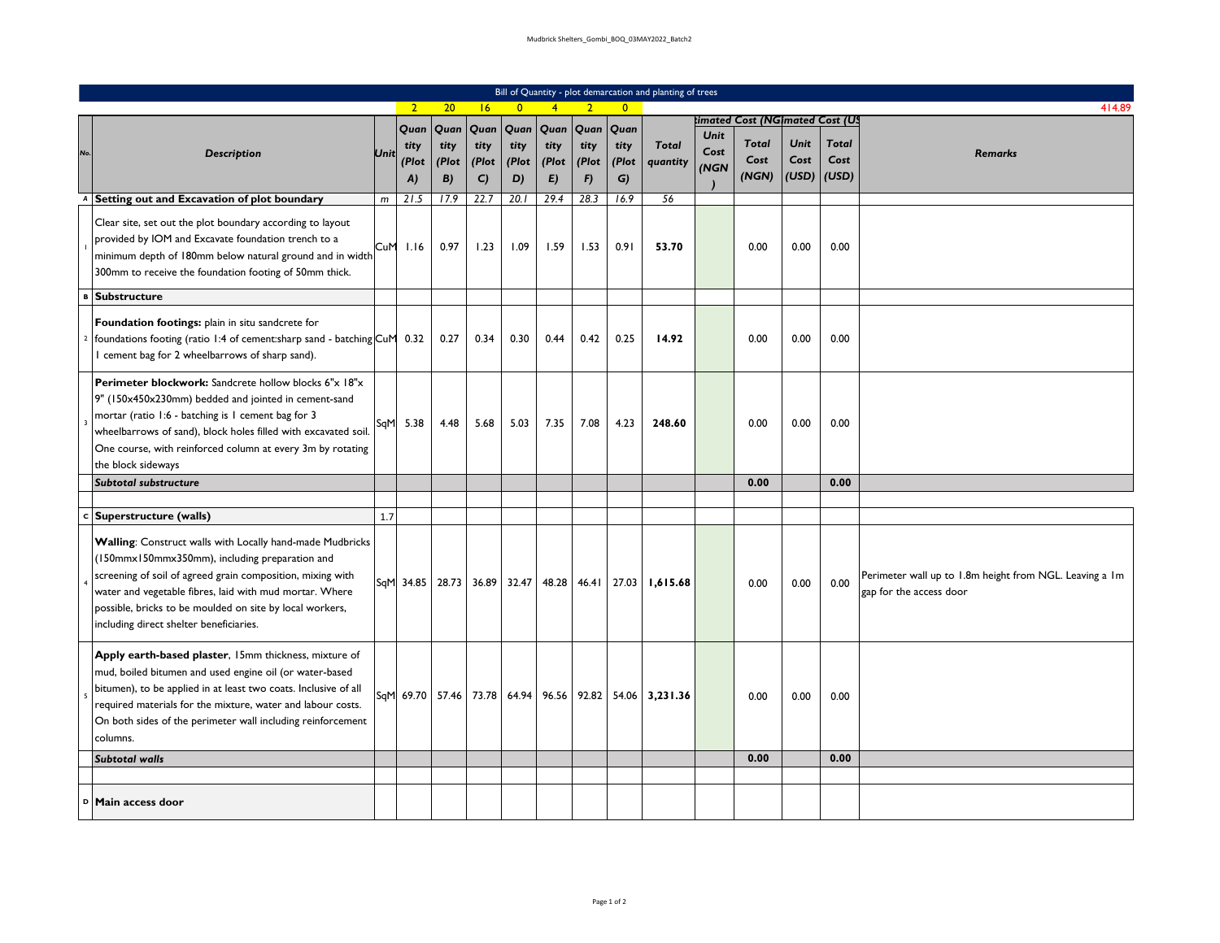|     |                                                                                                                                                                                                                                                                                                                                             |     |                             |                             |                            |                             |                             |                             |                             | Bill of Quantity - plot demarcation and planting of trees |                      |                                                                 |                              |                               |                                                                                    |
|-----|---------------------------------------------------------------------------------------------------------------------------------------------------------------------------------------------------------------------------------------------------------------------------------------------------------------------------------------------|-----|-----------------------------|-----------------------------|----------------------------|-----------------------------|-----------------------------|-----------------------------|-----------------------------|-----------------------------------------------------------|----------------------|-----------------------------------------------------------------|------------------------------|-------------------------------|------------------------------------------------------------------------------------|
|     |                                                                                                                                                                                                                                                                                                                                             |     | $\overline{2}$              | 20                          | 6                          | $\overline{0}$              | $\overline{4}$              | $\overline{2}$              | $\overline{0}$              |                                                           |                      |                                                                 |                              |                               | 414.89                                                                             |
| No. | <b>Description</b>                                                                                                                                                                                                                                                                                                                          | Uni | Quan<br>tity<br>(Plot<br>A) | Quan<br>tity<br>(Plot<br>B) | Quan<br>tity<br>(Plot<br>C | Quan<br>tity<br>(Plot<br>D) | Quan<br>tity<br>(Plot<br>E) | Quan<br>tity<br>(Plot<br>F) | Quan<br>tity<br>(Plot<br>G) | <b>Total</b><br>quantity                                  | Unit<br>Cost<br>(NGN | imated Cost (NGimated Cost (US<br><b>Total</b><br>Cost<br>(NGN) | <b>Unit</b><br>Cost<br>(USD) | <b>Total</b><br>Cost<br>(USD) | <b>Remarks</b>                                                                     |
| A   | Setting out and Excavation of plot boundary                                                                                                                                                                                                                                                                                                 | m   | 21.5                        | 17.9                        | 22.7                       | 20.1                        | 29.4                        | 28.3                        | 16.9                        | 56                                                        |                      |                                                                 |                              |                               |                                                                                    |
|     | Clear site, set out the plot boundary according to layout<br>provided by IOM and Excavate foundation trench to a<br>minimum depth of 180mm below natural ground and in width<br>300mm to receive the foundation footing of 50mm thick.                                                                                                      | CuM | 1.16                        | 0.97                        | 1.23                       | 1.09                        | 1.59                        | 1.53                        | 0.91                        | 53.70                                                     |                      | 0.00                                                            | 0.00                         | 0.00                          |                                                                                    |
|     | <b>Substructure</b>                                                                                                                                                                                                                                                                                                                         |     |                             |                             |                            |                             |                             |                             |                             |                                                           |                      |                                                                 |                              |                               |                                                                                    |
|     | Foundation footings: plain in situ sandcrete for<br>foundations footing (ratio 1:4 of cement: sharp sand - batching CuM<br>I cement bag for 2 wheelbarrows of sharp sand).                                                                                                                                                                  |     | 0.32                        | 0.27                        | 0.34                       | 0.30                        | 0.44                        | 0.42                        | 0.25                        | 14.92                                                     |                      | 0.00                                                            | 0.00                         | 0.00                          |                                                                                    |
|     | Perimeter blockwork: Sandcrete hollow blocks 6"x 18"x<br>9" (150x450x230mm) bedded and jointed in cement-sand<br>mortar (ratio 1:6 - batching is 1 cement bag for 3<br>wheelbarrows of sand), block holes filled with excavated soil.<br>One course, with reinforced column at every 3m by rotating<br>the block sideways                   | SqM | 5.38                        | 4.48                        | 5.68                       | 5.03                        | 7.35                        | 7.08                        | 4.23                        | 248.60                                                    |                      | 0.00                                                            | 0.00                         | 0.00                          |                                                                                    |
|     | Subtotal substructure                                                                                                                                                                                                                                                                                                                       |     |                             |                             |                            |                             |                             |                             |                             |                                                           |                      | 0.00                                                            |                              | 0.00                          |                                                                                    |
|     |                                                                                                                                                                                                                                                                                                                                             |     |                             |                             |                            |                             |                             |                             |                             |                                                           |                      |                                                                 |                              |                               |                                                                                    |
|     | c Superstructure (walls)                                                                                                                                                                                                                                                                                                                    | 1.7 |                             |                             |                            |                             |                             |                             |                             |                                                           |                      |                                                                 |                              |                               |                                                                                    |
|     | Walling: Construct walls with Locally hand-made Mudbricks<br>(150mmx150mmx350mm), including preparation and<br>screening of soil of agreed grain composition, mixing with<br>water and vegetable fibres, laid with mud mortar. Where<br>possible, bricks to be moulded on site by local workers,<br>including direct shelter beneficiaries. | SqM | 34.85                       | 28.73                       | 36.89                      | 32.47                       |                             |                             |                             | 48.28 46.41 27.03 1,615.68                                |                      | 0.00                                                            | 0.00                         | 0.00                          | Perimeter wall up to 1.8m height from NGL. Leaving a 1m<br>gap for the access door |
|     | Apply earth-based plaster, 15mm thickness, mixture of<br>mud, boiled bitumen and used engine oil (or water-based<br>bitumen), to be applied in at least two coats. Inclusive of all<br>required materials for the mixture, water and labour costs.<br>On both sides of the perimeter wall including reinforcement<br>columns.               | SqM | 69.70 57.46 73.78           |                             |                            |                             |                             |                             |                             | 64.94   96.56   92.82   54.06   3,231.36                  |                      | 0.00                                                            | 0.00                         | 0.00                          |                                                                                    |
|     | <b>Subtotal walls</b>                                                                                                                                                                                                                                                                                                                       |     |                             |                             |                            |                             |                             |                             |                             |                                                           |                      | 0.00                                                            |                              | 0.00                          |                                                                                    |
|     |                                                                                                                                                                                                                                                                                                                                             |     |                             |                             |                            |                             |                             |                             |                             |                                                           |                      |                                                                 |                              |                               |                                                                                    |
| D   | Main access door                                                                                                                                                                                                                                                                                                                            |     |                             |                             |                            |                             |                             |                             |                             |                                                           |                      |                                                                 |                              |                               |                                                                                    |